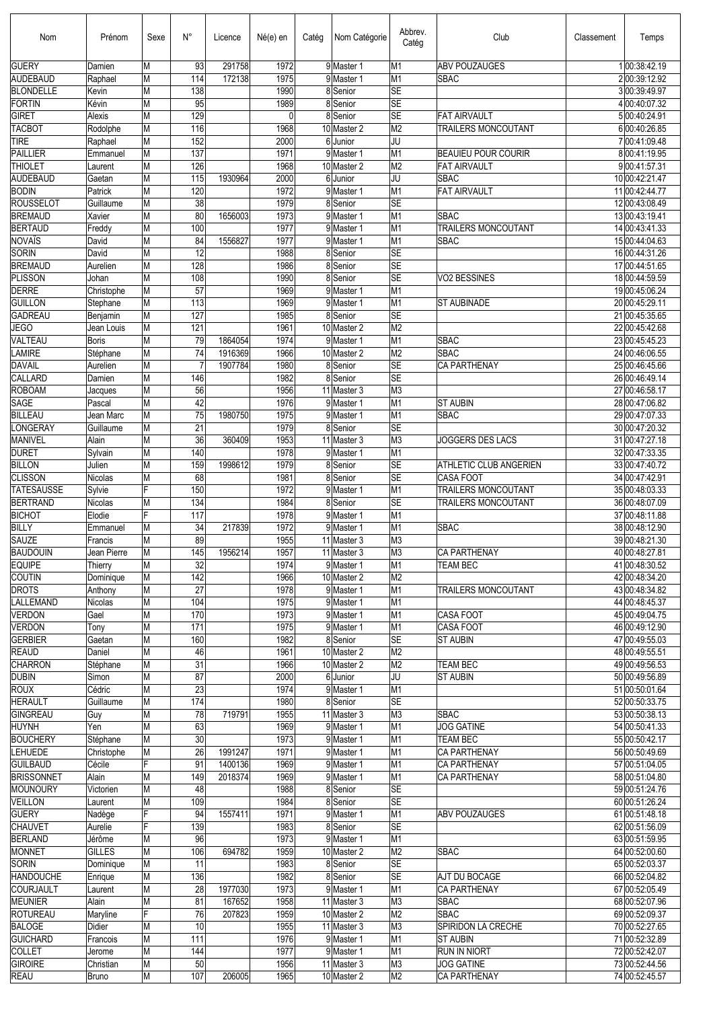| Nom                                 | Prénom                  | Sexe   | N°                    | Licence | Né(e) en     | Catég | Nom Catégorie              | Abbrev.<br>Catég                           | Club                                    | Classement | Temps                            |
|-------------------------------------|-------------------------|--------|-----------------------|---------|--------------|-------|----------------------------|--------------------------------------------|-----------------------------------------|------------|----------------------------------|
| <b>GUERY</b>                        | Damien                  | М      | 93                    | 291758  | 1972         |       | 9 Master 1                 | M1                                         | <b>ABV POUZAUGES</b>                    |            | 100:38:42.19                     |
| AUDEBAUD                            | Raphael                 | М      | 114                   | 172138  | 1975         |       | 9 Master 1                 | M1                                         | <b>SBAC</b>                             |            | 200:39:12.92                     |
| <b>BLONDELLE</b><br>FORTIN          | Kevin<br>Kévin          | Μ      | 138<br>95             |         | 1990<br>1989 |       | 8 Senior<br>8 Senior       | <b>SE</b><br><b>SE</b>                     |                                         |            | 3 00:39:49.97<br>4 00:40:07.32   |
| <b>GIRET</b>                        | Alexis                  | М<br>M | 129                   |         | 0            |       | 8 Senior                   | <b>SE</b>                                  | <b>FAT AIRVAULT</b>                     |            | 5 00:40:24.91                    |
| <b>TACBOT</b>                       | Rodolphe                | M      | 116                   |         | 1968         |       | 10 Master 2                | M <sub>2</sub>                             | TRAILERS MONCOUTANT                     |            | 6 00:40:26.85                    |
| <b>TIRE</b>                         | Raphael                 | M      | 152                   |         | 2000         |       | 6Junior                    | IJU                                        |                                         |            | 700:41:09.48                     |
| <b>PAILLIER</b>                     | Emmanuel                | Μ      | 137                   |         | 1971         |       | 9 Master 1                 | M1                                         | <b>BEAUIEU POUR COURIR</b>              |            | 800:41:19.95                     |
| <b>THIOLET</b>                      | Laurent                 | M      | 126                   |         | 1968         |       | 10 Master 2                | M <sub>2</sub>                             | <b>FAT AIRVAULT</b>                     |            | 9 00:41:57.31                    |
| <b>AUDEBAUD</b>                     | Gaetan                  | М      | 115                   | 1930964 | 2000         |       | 6 Junior                   | IJU                                        | <b>SBAC</b>                             |            | 10 00:42:21.47                   |
| <b>BODIN</b>                        | Patrick                 | M      | 120                   |         | 1972         |       | 9 Master 1                 | M <sub>1</sub>                             | <b>FAT AIRVAULT</b>                     |            | 11 00:42:44.77                   |
| <b>ROUSSELOT</b>                    | Guillaume               | М      | $\overline{38}$       |         | 1979         |       | 8 Senior                   | <b>SE</b>                                  |                                         |            | 12 00:43:08.49                   |
| <b>BREMAUD</b>                      | Xavier                  | М      | 80                    | 1656003 | 1973         |       | 9 Master 1                 | M1                                         | <b>SBAC</b>                             |            | 13 00:43:19.41                   |
| <b>BERTAUD</b>                      | Freddy                  | М      | 100                   |         | 1977         |       | 9 Master 1                 | M1                                         | TRAILERS MONCOUTANT                     |            | 14 00:43:41.33                   |
| NOVAÏS                              | David                   | М      | 84                    | 1556827 | 1977         |       | 9 Master 1                 | M1                                         | <b>SBAC</b>                             |            | 15 00:44:04.63                   |
| <b>SORIN</b>                        | David                   | M      | $\overline{12}$       |         | 1988         |       | 8 Senior                   | <b>SE</b>                                  |                                         |            | 16 00:44:31.26                   |
| <b>BREMAUD</b>                      | Aurelien                | М      | 128                   |         | 1986         |       | 8 Senior                   | <b>SE</b><br><b>SE</b>                     |                                         |            | 17 00:44:51.65                   |
| <b>PLISSON</b><br><b>DERRE</b>      | Johan<br>Christophe     | M<br>М | 108<br>57             |         | 1990<br>1969 |       | 8 Senior<br>9Master 1      | M1                                         | VO2 BESSINES                            |            | 18 00:44:59.59<br>19 00:45:06.24 |
| <b>GUILLON</b>                      | Stephane                | M      | 113                   |         | 1969         |       | 9 Master 1                 | M <sub>1</sub>                             | <b>ST AUBINADE</b>                      |            | 20 00:45:29.11                   |
| <b>GADREAU</b>                      | Benjamin                | M      | 127                   |         | 1985         |       | 8 Senior                   | <b>SE</b>                                  |                                         |            | 21 00:45:35.65                   |
| <b>JEGO</b>                         | Jean Louis              | M      | 121                   |         | 1961         |       | 10 Master 2                | M <sub>2</sub>                             |                                         |            | 22 00:45:42.68                   |
| VALTEAU                             | <b>Boris</b>            | Μ      | 79                    | 1864054 | 1974         |       | 9 Master 1                 | M1                                         | <b>SBAC</b>                             |            | 23 00:45:45.23                   |
| <b>LAMIRE</b>                       | Stéphane                | M      | 74                    | 1916369 | 1966         |       | 10 Master 2                | M <sub>2</sub>                             | <b>SBAC</b>                             |            | 24 00:46:06.55                   |
| DAVAIL                              | Aurelien                | Μ      |                       | 1907784 | 1980         |       | 8 Senior                   | <b>SE</b>                                  | CA PARTHENAY                            |            | 25 00:46:45.66                   |
| <b>CALLARD</b>                      | Damien                  | M      | 146                   |         | 1982         |       | 8 Senior                   | <b>SE</b>                                  |                                         |            | 26 00:46:49.14                   |
| <b>ROBOAM</b>                       | Jacques                 | М      | 56                    |         | 1956         |       | 11 Master 3                | M3                                         |                                         |            | 27 00:46:58.17                   |
| <b>SAGE</b>                         | Pascal                  | M      | 42                    |         | 1976         |       | 9 Master 1                 | M <sub>1</sub>                             | <b>ST AUBIN</b>                         |            | 28 00:47:06.82                   |
| <b>BILLEAU</b>                      | Jean Marc               | М      | 75                    | 1980750 | 1975         |       | 9 Master 1                 | M <sub>1</sub>                             | <b>SBAC</b>                             |            | 29 00:47:07.33                   |
| <b>LONGERAY</b>                     | Guillaume               | М      | 21                    |         | 1979         |       | 8 Senior                   | <b>SE</b>                                  |                                         |            | 30 00:47:20.32                   |
| MANIVEL                             | Alain                   | M      | $\overline{36}$       | 360409  | 1953         |       | 11 Master 3                | lмз                                        | <b>JOGGERS DES LACS</b>                 |            | 31 00:47:27.18                   |
| <b>DURET</b>                        | Sylvain                 | М      | 140                   |         | 1978         |       | 9 Master 1                 | M1                                         |                                         |            | 32 00:47:33.35                   |
| BILLON                              | Julien                  | М      | 159                   | 1998612 | 1979         |       | 8 Senior                   | <b>SE</b><br><b>SE</b>                     | ATHLETIC CLUB ANGERIEN                  |            | 33 00:47:40.72                   |
| <b>CLISSON</b><br><b>TATESAUSSE</b> | Nicolas                 | М<br>E | 68<br>150             |         | 1981<br>1972 |       | 8 Senior<br>9 Master 1     | M <sub>1</sub>                             | <b>CASA FOOT</b><br>TRAILERS MONCOUTANT |            | 34 00:47:42.91                   |
| <b>BERTRAND</b>                     | Sylvie<br>Nicolas       | М      | 134                   |         | 1984         |       | 8 Senior                   | <b>SE</b>                                  | TRAILERS MONCOUTANT                     |            | 35 00:48:03.33<br>36 00:48:07.09 |
| <b>BICHOT</b>                       | Elodie                  | E      | 117                   |         | 1978         |       | 9 Master 1                 | M1                                         |                                         |            | 37 00:48:11.88                   |
| BILLY                               | Emmanuel                | Μ      | 34                    | 217839  | 1972         |       | 9Master 1                  | M1                                         | <b>SBAC</b>                             |            | 38 00:48:12.90                   |
| <b>SAUZE</b>                        | Francis                 | М      | 89                    |         | 1955         |       | 11 Master 3                | M3                                         |                                         |            | 39 00:48:21.30                   |
| BAUDOUIN                            | Jean Pierre             | M      | 145                   | 1956214 | 1957         |       | 11 Master 3                | M3                                         | <b>CA PARTHENAY</b>                     |            | 40 00:48:27.81                   |
| <b>EQUIPE</b>                       | Thierry                 | М      | $\overline{32}$       |         | 1974         |       | 9 Master 1                 | M1                                         | <b>TEAM BEC</b>                         |            | 41 00:48:30.52                   |
| <b>COUTIN</b>                       | Dominique               | M      | 142                   |         | 1966         |       | 10 Master 2                | M <sub>2</sub>                             |                                         |            | 42 00:48:34.20                   |
| <b>DROTS</b>                        | Anthony                 | M      | 27                    |         | 1978         |       | 9 Master 1                 | M1                                         | TRAILERS MONCOUTANT                     |            | 43 00:48:34.82                   |
| LALLEMAND                           | Nicolas                 | M      | 104                   |         | 1975         |       | 9 Master 1                 | M1                                         |                                         |            | 44 00:48:45.37                   |
| <b>VERDON</b>                       | Gael                    | М      | 170                   |         | 1973         |       | 9 Master 1                 | M <sub>1</sub>                             | <b>CASA FOOT</b>                        |            | 45 00:49:04.75                   |
| <b>VERDON</b>                       | Tony                    | М      | 171                   |         | 1975         |       | 9 Master 1                 | M1                                         | <b>CASA FOOT</b>                        |            | 46 00:49:12.90                   |
| GERBIER                             | Gaetan                  | М      | 160                   |         | 1982         |       | 8Senior                    | <b>SE</b>                                  | <b>ST AUBIN</b>                         |            | 47 00:49:55.03                   |
| <b>REAUD</b><br><b>CHARRON</b>      | Daniel                  | М      | 46<br>$\overline{31}$ |         | 1961         |       | 10 Master 2<br>10 Master 2 | M <sub>2</sub><br>$\overline{\mathsf{M2}}$ |                                         |            | 48 00:49:55.51                   |
| <b>DUBIN</b>                        | Stéphane<br>Simon       | М<br>Μ | 87                    |         | 1966<br>2000 |       | 6Junior                    | IJU                                        | TEAM BEC<br><b>ST AUBIN</b>             |            | 49 00:49:56.53<br>50 00:49:56.89 |
| <b>ROUX</b>                         | Cédric                  | М      | $\overline{23}$       |         | 1974         |       | 9 Master 1                 | M1                                         |                                         |            | 51 00:50:01.64                   |
| <b>HERAULT</b>                      | Guillaume               | Μ      | 174                   |         | 1980         |       | 8 Senior                   | <b>SE</b>                                  |                                         |            | 52 00:50:33.75                   |
| <b>GINGREAU</b>                     | Guy                     | Μ      | 78                    | 719791  | 1955         |       | 11 Master 3                | M <sub>3</sub>                             | <b>SBAC</b>                             |            | 53 00:50:38.13                   |
| HUYNH                               | Yen                     | M      | 63                    |         | 1969         |       | 9 Master 1                 | M <sub>1</sub>                             | <b>JOG GATINE</b>                       |            | 54 00:50:41.33                   |
| <b>BOUCHERY</b>                     | Stéphane                | M      | 30                    |         | 1973         |       | 9 Master 1                 | M1                                         | <b>TEAM BEC</b>                         |            | 55 00:50:42.17                   |
| <b>LEHUEDE</b>                      | Christophe              | Μ      | $\overline{26}$       | 1991247 | 1971         |       | 9 Master 1                 | M1                                         | <b>CA PARTHENAY</b>                     |            | 56 00:50:49.69                   |
| <b>GUILBAUD</b>                     | Cécile                  | F      | 91                    | 1400136 | 1969         |       | 9 Master 1                 | M1                                         | <b>CA PARTHENAY</b>                     |            | 57 00:51:04.05                   |
| <b>BRISSONNET</b>                   | Alain                   | M      | 149                   | 2018374 | 1969         |       | 9 Master 1                 | M <sub>1</sub>                             | <b>CA PARTHENAY</b>                     |            | 58 00:51:04.80                   |
| MOUNOURY                            | Victorien               | М      | 48                    |         | 1988         |       | 8 Senior                   | $ \overline{\text{SE}} $                   |                                         |            | 59 00:51:24.76                   |
| VEILLON                             | Laurent                 | M      | 109                   |         | 1984         |       | 8Senior                    | <b>SE</b>                                  |                                         |            | 60 00:51:26.24                   |
| <b>GUERY</b>                        | Nadège                  | F      | 94                    | 1557411 | 1971         |       | 9 Master 1                 | M1                                         | <b>ABV POUZAUGES</b>                    |            | 61 00:51:48.18                   |
| <b>CHAUVET</b>                      | Aurelie                 | F      | 139                   |         | 1983         |       | 8 Senior                   | <b>SE</b>                                  |                                         |            | 62 00:51:56.09                   |
| BERLAND                             | Jérôme<br><b>GILLES</b> | М<br>M | 96<br>106             | 694782  | 1973<br>1959 |       | 9 Master 1<br>10 Master 2  | M1<br>$\overline{\mathsf{M2}}$             | <b>SBAC</b>                             |            | 63 00:51:59.95<br>64 00:52:00.60 |
| MONNET<br><b>SORIN</b>              | Dominique               | Μ      | 11                    |         | 1983         |       | 8 Senior                   | SE                                         |                                         |            | 65 00:52:03.37                   |
| <b>HANDOUCHE</b>                    | Enrique                 | М      | 136                   |         | 1982         |       | 8Senior                    | <b>SE</b>                                  | AJT DU BOCAGE                           |            | 66 00:52:04.82                   |
| <b>COURJAULT</b>                    | Laurent                 | M      | 28                    | 1977030 | 1973         |       | 9 Master 1                 | M1                                         | <b>CA PARTHENAY</b>                     |            | 67 00:52:05.49                   |
| MEUNIER                             | Alain                   | М      | 81                    | 167652  | 1958         |       | 11 Master 3                | M3                                         | <b>SBAC</b>                             |            | 68 00:52:07.96                   |
| <b>ROTUREAU</b>                     | Maryline                | F      | 76                    | 207823  | 1959         |       | 10 Master 2                | M <sub>2</sub>                             | <b>SBAC</b>                             |            | 69 00:52:09.37                   |
| <b>BALOGE</b>                       | Didier                  | Μ      | 10                    |         | 1955         |       | 11 Master 3                | M3                                         | SPIRIDON LA CRECHE                      |            | 70 00:52:27.65                   |
| <b>GUICHARD</b>                     | Francois                | M      | 111                   |         | 1976         |       | 9 Master 1                 | M1                                         | <b>ST AUBIN</b>                         |            | 71 00:52:32.89                   |
| <b>COLLET</b>                       | Jerome                  | М      | 144                   |         | 1977         |       | 9 Master 1                 | M1                                         | <b>RUN IN NIORT</b>                     |            | 72 00:52:42.07                   |
| GIROIRE                             | Christian               | M      | 50                    |         | 1956         |       | 11 Master 3                | M <sub>3</sub>                             | <b>JOG GATINE</b>                       |            | 73 00:52:44.56                   |
| <b>REAU</b>                         | Bruno                   | М      | 107                   | 206005  | 1965         |       | 10 Master 2                | M <sub>2</sub>                             | CA PARTHENAY                            |            | 74 00:52:45.57                   |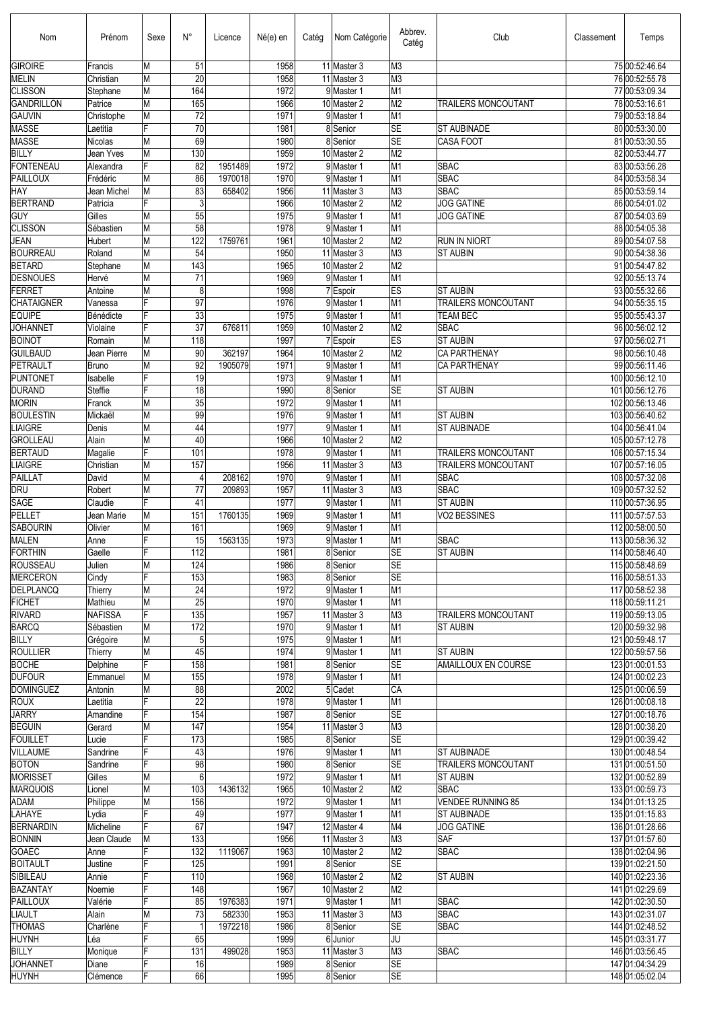| Nom                                 | Prénom               | Sexe                    | $N^{\circ}$           | Licence | Né(e) en     | Catég | Nom Catégorie              | Abbrev.<br>Catég                  | Club                                      | Classement | Temps                              |
|-------------------------------------|----------------------|-------------------------|-----------------------|---------|--------------|-------|----------------------------|-----------------------------------|-------------------------------------------|------------|------------------------------------|
| <b>GIROIRE</b>                      | Francis              | M                       | 51                    |         | 1958         |       | 11 Master 3                | M3                                |                                           |            | 75 00:52:46.64                     |
| <b>MELIN</b>                        | Christian            | M                       | 20                    |         | 1958         |       | 11 Master 3                | M <sub>3</sub>                    |                                           |            | 76 00:52:55.78                     |
| <b>CLISSON</b><br><b>GANDRILLON</b> | Stephane<br>Patrice  | M<br>M                  | 164<br>165            |         | 1972<br>1966 |       | 9 Master 1<br>10 Master 2  | M1<br>M <sub>2</sub>              |                                           |            | 77 00:53:09.34<br>78 00:53:16.61   |
| <b>GAUVIN</b>                       | Christophe           | M                       | 72                    |         | 1971         |       | 9 Master 1                 | M <sub>1</sub>                    | TRAILERS MONCOUTANT                       |            | 79 00:53:18.84                     |
| <b>MASSE</b>                        | Laetitia             | F                       | 70                    |         | 1981         |       | 8 Senior                   | <b>SE</b>                         | <b>ST AUBINADE</b>                        |            | 80 00:53:30.00                     |
| <b>MASSE</b>                        | Nicolas              | M                       | 69                    |         | 1980         |       | 8 Senior                   | <b>SE</b>                         | <b>CASA FOOT</b>                          |            | 81 00:53:30.55                     |
| <b>BILLY</b>                        | Jean Yves            | M                       | 130                   |         | 1959         |       | 10 Master 2                | M <sub>2</sub>                    |                                           |            | 82 00:53:44.77                     |
| <b>FONTENEAU</b>                    | Alexandra            | F                       | 82                    | 1951489 | 1972         |       | 9 Master 1                 | M1                                | <b>SBAC</b>                               |            | 83 00:53:56.28                     |
| <b>PAILLOUX</b>                     | Frédéric             | M                       | 86                    | 1970018 | 1970         |       | 9 Master 1                 | M1                                | <b>SBAC</b>                               |            | 84 00:53:58.34                     |
| HAY                                 | Jean Michel          | M                       | 83                    | 658402  | 1956         |       | 11 Master 3                | M <sub>3</sub>                    | <b>SBAC</b>                               |            | 85 00:53:59.14                     |
| <b>BERTRAND</b>                     | Patricia             | F                       | $\mathbf{3}$          |         | 1966         |       | 10 Master 2                | M <sub>2</sub>                    | <b>JOG GATINE</b>                         |            | 86 00:54:01.02                     |
| <b>GUY</b>                          | Gilles               | M                       | 55                    |         | 1975         |       | 9 Master 1                 | M1                                | <b>JOG GATINE</b>                         |            | 87 00:54:03.69                     |
| <b>CLISSON</b>                      | Sébastien            | M                       | 58                    |         | 1978         |       | 9 Master 1                 | M <sub>1</sub>                    |                                           |            | 88 00:54:05.38                     |
| <b>JEAN</b>                         | Hubert               | M                       | 122                   | 1759761 | 1961         |       | 10 Master 2                | M <sub>2</sub>                    | <b>RUN IN NIORT</b>                       |            | 89 00:54:07.58                     |
| <b>BOURREAU</b><br><b>BETARD</b>    | Roland<br>Stephane   | M<br>M                  | 54<br>143             |         | 1950<br>1965 |       | 11 Master 3<br>10 Master 2 | M <sub>3</sub><br>M <sub>2</sub>  | <b>ST AUBIN</b>                           |            | 90 00:54:38.36<br>91 00:54:47.82   |
| <b>DESNOUES</b>                     | Hervé                | M                       | 71                    |         | 1969         |       | 9 Master 1                 | M1                                |                                           |            | 92 00:55:13.74                     |
| <b>FERRET</b>                       | Antoine              | M                       | 8                     |         | 1998         |       | 7 Espoir                   | ES                                | <b>ST AUBIN</b>                           |            | 93 00:55:32.66                     |
| <b>CHATAIGNER</b>                   | Vanessa              | F                       | 97                    |         | 1976         |       | 9 Master 1                 | M <sub>1</sub>                    | <b>TRAILERS MONCOUTANT</b>                |            | 94 00:55:35.15                     |
| <b>EQUIPE</b>                       | Bénédicte            | F                       | $\overline{33}$       |         | 1975         |       | 9 Master 1                 | M <sub>1</sub>                    | <b>TEAM BEC</b>                           |            | 95 00:55:43.37                     |
| <b>JOHANNET</b>                     | Violaine             | F                       | 37                    | 676811  | 1959         |       | 10 Master 2                | M <sub>2</sub>                    | <b>SBAC</b>                               |            | 96 00:56:02.12                     |
| <b>BOINOT</b>                       | Romain               | M                       | 118                   |         | 1997         |       | 7 Espoir                   | ES                                | <b>ST AUBIN</b>                           |            | 97 00:56:02.71                     |
| <b>GUILBAUD</b>                     | Jean Pierre          | M                       | 90                    | 362197  | 1964         |       | 10 Master 2                | M <sub>2</sub>                    | CA PARTHENAY                              |            | 98 00:56:10.48                     |
| PETRAULT                            | <b>Bruno</b>         | M                       | 92                    | 1905079 | 1971         |       | 9 Master 1                 | M <sub>1</sub>                    | CA PARTHENAY                              |            | 99 00:56:11.46                     |
| <b>PUNTONET</b>                     | Isabelle             | F                       | 19                    |         | 1973         |       | 9 Master 1                 | M <sub>1</sub>                    |                                           |            | 100 00:56:12.10                    |
| <b>DURAND</b>                       | Steffie              | F                       | 18                    |         | 1990         |       | 8 Senior                   | <b>SE</b>                         | <b>ST AUBIN</b>                           |            | 101 00:56:12.76                    |
| <b>MORIN</b>                        | Franck               | M                       | $\overline{35}$       |         | 1972         |       | 9 Master 1                 | M <sub>1</sub>                    |                                           |            | 102 00:56:13.46                    |
| <b>BOULESTIN</b>                    | Mickaël              | M                       | 99<br>44              |         | 1976         |       | 9 Master 1                 | M1                                | <b>ST AUBIN</b>                           |            | 103 00:56:40.62                    |
| <b>LIAIGRE</b><br><b>GROLLEAU</b>   | Denis<br>Alain       | M<br>M                  | 40                    |         | 1977<br>1966 |       | 9 Master 1<br>10 Master 2  | $\overline{M1}$<br>M <sub>2</sub> | <b>ST AUBINADE</b>                        |            | 104 00:56:41.04<br>105 00:57:12.78 |
| <b>BERTAUD</b>                      | Magalie              | F                       | 101                   |         | 1978         |       | 9 Master 1                 | $\overline{M1}$                   | TRAILERS MONCOUTANT                       |            | 106 00:57:15.34                    |
| <b>LIAIGRE</b>                      | Christian            | M                       | 157                   |         | 1956         |       | 11 Master 3                | M <sub>3</sub>                    | TRAILERS MONCOUTANT                       |            | 107 00:57:16.05                    |
| PAILLAT                             | David                | M                       | $\overline{4}$        | 208162  | 1970         |       | 9 Master 1                 | $\overline{M1}$                   | <b>SBAC</b>                               |            | 108 00:57:32.08                    |
| <b>DRU</b>                          | Robert               | M                       | 77                    | 209893  | 1957         |       | 11 Master 3                | M <sub>3</sub>                    | <b>SBAC</b>                               |            | 109 00:57:32.52                    |
| SAGE                                | Claudie              | F                       | 41                    |         | 1977         |       | 9 Master 1                 | M <sub>1</sub>                    | <b>ST AUBIN</b>                           |            | 110 00:57:36.95                    |
| PELLET                              | Jean Marie           | M                       | 151                   | 1760135 | 1969         |       | 9 Master 1                 | M <sub>1</sub>                    | VO2 BESSINES                              |            | 111 00:57:57.53                    |
| <b>SABOURIN</b>                     | Olivier              | M                       | 161                   |         | 1969         |       | 9 Master 1                 | M <sub>1</sub>                    |                                           |            | 112 00:58:00.50                    |
| <b>MALEN</b>                        | Anne                 | F                       | 15                    | 1563135 | 1973         |       | 9 Master 1                 | M <sub>1</sub>                    | <b>SBAC</b>                               |            | 113 00:58:36.32                    |
| <b>FORTHIN</b>                      | Gaelle               | F                       | 112                   |         | 1981         |       | 8 Senior                   | $\overline{\text{SE}}$            | <b>ST AUBIN</b>                           |            | 114 00:58:46.40                    |
| ROUSSEAU                            | Julien               | M                       | 124                   |         | 1986         |       | 8 Senior                   | <b>SE</b>                         |                                           |            | 115 00:58:48.69                    |
| <b>MERCERON</b>                     | Cindy                | F                       | 153                   |         | 1983         |       | 8 Senior                   | <b>SE</b>                         |                                           |            | 116 00:58:51.33                    |
| DELPLANCQ<br><b>FICHET</b>          | Thierry<br>Mathieu   | M                       | 24<br>$\overline{25}$ |         | 1972<br>1970 |       | 9 Master 1<br>9 Master 1   | M <sub>1</sub><br>M1              |                                           |            | 117 00:58:52.38                    |
| <b>RIVARD</b>                       | <b>NAFISSA</b>       | M<br>F                  | 135                   |         | 1957         |       | 11 Master 3                | $\overline{M3}$                   | TRAILERS MONCOUTANT                       |            | 118 00:59:11.21<br>119 00:59:13.05 |
| <b>BARCQ</b>                        | Sébastien            | M                       | 172                   |         | 1970         |       | 9 Master 1                 | M <sub>1</sub>                    | <b>ST AUBIN</b>                           |            | 120 00:59:32.98                    |
| <b>BILLY</b>                        | Grégoire             | M                       | 5 <sub>5</sub>        |         | 1975         |       | 9 Master 1                 | M <sub>1</sub>                    |                                           |            | 121 00:59:48.17                    |
| <b>ROULLIER</b>                     | Thierry              | M                       | 45                    |         | 1974         |       | 9 Master 1                 | M <sub>1</sub>                    | <b>ST AUBIN</b>                           |            | 122 00:59:57.56                    |
| <b>BOCHE</b>                        | Delphine             | F                       | 158                   |         | 1981         |       | 8Senior                    | $\overline{\text{SE}}$            | AMAILLOUX EN COURSE                       |            | 123 01:00:01.53                    |
| <b>DUFOUR</b>                       | Emmanuel             | M                       | 155                   |         | 1978         |       | 9 Master 1                 | M <sub>1</sub>                    |                                           |            | 124 01:00:02.23                    |
| <b>DOMINGUEZ</b>                    | Antonin              | M                       | 88                    |         | 2002         |       | 5 Cadet                    | CA                                |                                           |            | 125 01:00:06.59                    |
| <b>ROUX</b>                         | Laetitia             | F                       | 22                    |         | 1978         |       | 9 Master 1                 | M1                                |                                           |            | 126 01:00:08.18                    |
| <b>JARRY</b>                        | Amandine             | F                       | 154                   |         | 1987         |       | 8Senior                    | <b>SE</b>                         |                                           |            | 127 01:00:18.76                    |
| <b>BEGUIN</b>                       | Gerard               | M                       | 147                   |         | 1954         |       | 11 Master 3                | M <sub>3</sub>                    |                                           |            | 128 01:00:38.20                    |
| <b>FOUILLET</b>                     | Lucie                | F                       | 173                   |         | 1985         |       | 8 Senior                   | <b>SE</b>                         |                                           |            | 129 01:00:39.42                    |
| <b>VILLAUME</b><br><b>BOTON</b>     | Sandrine<br>Sandrine | F<br>F                  | 43<br>$\overline{98}$ |         | 1976<br>1980 |       | 9 Master 1<br>8Senior      | M1<br><b>SE</b>                   | <b>ST AUBINADE</b><br>TRAILERS MONCOUTANT |            | 130 01:00:48.54<br>131 01:00:51.50 |
| <b>MORISSET</b>                     | Gilles               | M                       | 6                     |         | 1972         |       | 9 Master 1                 | M <sub>1</sub>                    | <b>ST AUBIN</b>                           |            | 132 01:00:52.89                    |
| <b>MARQUOIS</b>                     | Lionel               | M                       | 103                   | 1436132 | 1965         |       | 10 Master 2                | M <sub>2</sub>                    | <b>SBAC</b>                               |            | 133 01:00:59.73                    |
| ADAM                                | Philippe             | M                       | 156                   |         | 1972         |       | 9 Master 1                 | M1                                | <b>VENDEE RUNNING 85</b>                  |            | 134 01:01:13.25                    |
| LAHAYE                              | Lydia                | $\overline{\mathsf{F}}$ | 49                    |         | 1977         |       | 9 Master 1                 | M1                                | <b>ST AUBINADE</b>                        |            | 135 01:01:15.83                    |
| <b>BERNARDIN</b>                    | Micheline            | F                       | 67                    |         | 1947         |       | 12 Master 4                | M4                                | <b>JOG GATINE</b>                         |            | 136 01:01:28.66                    |
| <b>BONNIN</b>                       | Jean Claude          | M                       | 133                   |         | 1956         |       | 11 Master 3                | M <sub>3</sub>                    | SAF                                       |            | 137 01:01:57.60                    |
| GOAEC                               | Anne                 | F                       | 132                   | 1119067 | 1963         |       | 10 Master 2                | M <sub>2</sub>                    | <b>SBAC</b>                               |            | 138 01:02:04.96                    |
| <b>BOITAULT</b>                     | Justine              | F                       | 125                   |         | 1991         |       | 8Senior                    | $\overline{\text{SE}}$            |                                           |            | 139 01:02:21.50                    |
| SIBILEAU                            | Annie                | F                       | 110                   |         | 1968         |       | 10 Master 2                | M <sub>2</sub>                    | <b>ST AUBIN</b>                           |            | 140 01:02:23.36                    |
| <b>BAZANTAY</b>                     | Noemie               | F                       | 148                   |         | 1967         |       | 10 Master 2                | M <sub>2</sub>                    |                                           |            | 141 01:02:29.69                    |
| <b>PAILLOUX</b>                     | Valérie              | F                       | 85                    | 1976383 | 1971         |       | 9 Master 1                 | M1                                | <b>SBAC</b>                               |            | 142 01:02:30.50                    |
| <b>LIAULT</b>                       | Alain                | M<br>F                  | 73<br>$\mathbf{1}$    | 582330  | 1953         |       | 11 Master 3                | M <sub>3</sub>                    | <b>SBAC</b>                               |            | 143 01:02:31.07                    |
| <b>THOMAS</b><br><b>HUYNH</b>       | Charlène<br>Léa      | F                       | 65                    | 1972218 | 1986<br>1999 |       | 8 Senior<br>6Junior        | <b>SE</b><br>JU                   | <b>SBAC</b>                               |            | 144 01:02:48.52<br>145 01:03:31.77 |
| <b>BILLY</b>                        | Monique              | F                       | 131                   | 499028  | 1953         |       | 11 Master 3                | M3                                | <b>SBAC</b>                               |            | 146 01:03:56.45                    |
| <b>JOHANNET</b>                     | Diane                | F                       | 16                    |         | 1989         |       | 8 Senior                   | $\overline{\text{SE}}$            |                                           |            | 147 01:04:34.29                    |
| <b>HUYNH</b>                        | Clémence             | F                       | 66                    |         | 1995         |       | 8Senior                    | <b>SE</b>                         |                                           |            | 148 01:05:02.04                    |
|                                     |                      |                         |                       |         |              |       |                            |                                   |                                           |            |                                    |